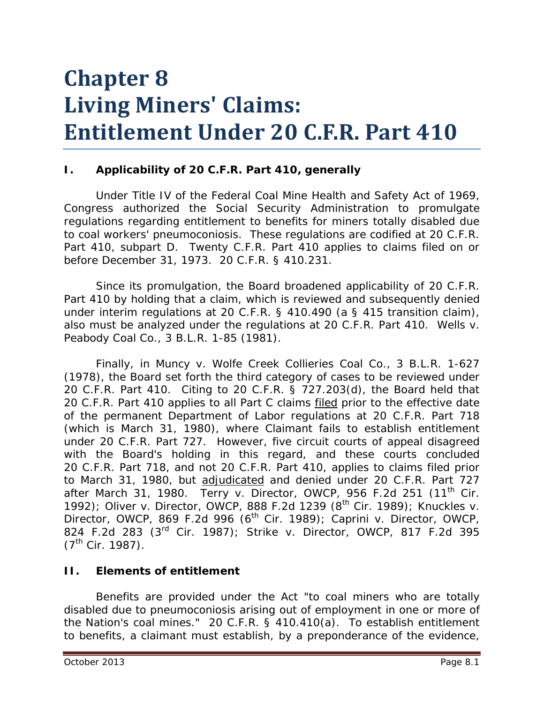# **Chapter 8 Living Miners' Claims: Entitlement Under 20 C.F.R. Part 410**

#### **I. Applicability of 20 C.F.R. Part 410, generally**

Under Title IV of the Federal Coal Mine Health and Safety Act of 1969, Congress authorized the Social Security Administration to promulgate regulations regarding entitlement to benefits for miners totally disabled due to coal workers' pneumoconiosis. These regulations are codified at 20 C.F.R. Part 410, subpart D. Twenty C.F.R. Part 410 applies to claims filed on or before December 31, 1973. 20 C.F.R. § 410.231.

Since its promulgation, the Board broadened applicability of 20 C.F.R. Part 410 by holding that a claim, which is reviewed and subsequently denied under interim regulations at 20 C.F.R. § 410.490 (a § 415 transition claim), also must be analyzed under the regulations at 20 C.F.R. Part 410. *Wells v. Peabody Coal Co.*, 3 B.L.R. 1-85 (1981).

Finally, in *Muncy v. Wolfe Creek Collieries Coal Co.*, 3 B.L.R. 1-627 (1978), the Board set forth the third category of cases to be reviewed under 20 C.F.R. Part 410. Citing to 20 C.F.R. § 727.203(d), the Board held that 20 C.F.R. Part 410 applies to all Part C claims filed prior to the effective date of the permanent Department of Labor regulations at 20 C.F.R. Part 718 (which is March 31, 1980), where Claimant fails to establish entitlement under 20 C.F.R. Part 727. However, five circuit courts of appeal disagreed with the Board's holding in this regard, and these courts concluded 20 C.F.R. Part 718, and not 20 C.F.R. Part 410, applies to claims filed prior to March 31, 1980, but adjudicated and denied under 20 C.F.R. Part 727 after March 31, 1980. *Terry v. Director, OWCP*, 956 F.2d 251 (11th Cir. 1992); *Oliver v. Director, OWCP*, 888 F.2d 1239 (8th Cir. 1989); *Knuckles v. Director, OWCP*, 869 F.2d 996 (6<sup>th</sup> Cir. 1989); *Caprini v. Director, OWCP*, 824 F.2d 283 (3rd Cir. 1987); *Strike v. Director, OWCP*, 817 F.2d 395  $(7^{th}$  Cir. 1987).

#### **II. Elements of entitlement**

Benefits are provided under the Act "to coal miners who are totally disabled due to pneumoconiosis arising out of employment in one or more of the Nation's coal mines." 20 C.F.R. § 410.410(a). To establish entitlement to benefits, a claimant must establish, by a preponderance of the evidence,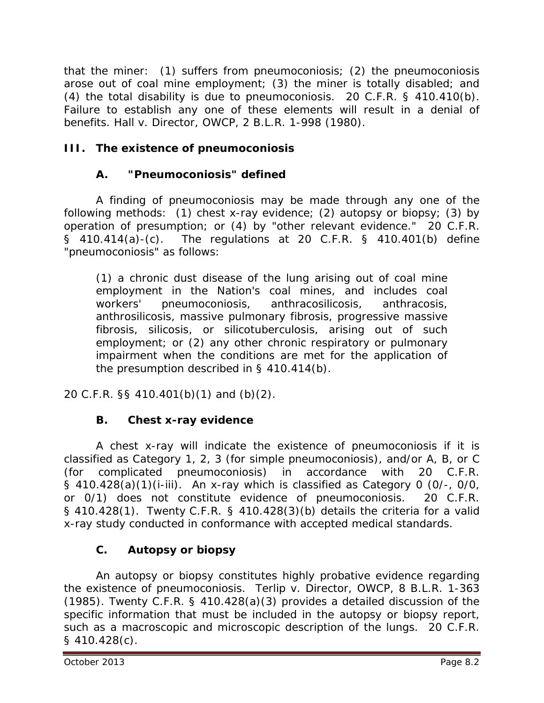that the miner: (1) suffers from pneumoconiosis; (2) the pneumoconiosis arose out of coal mine employment; (3) the miner is totally disabled; and (4) the total disability is due to pneumoconiosis. 20 C.F.R. § 410.410(b). Failure to establish any one of these elements will result in a denial of benefits. *Hall v. Director, OWCP*, 2 B.L.R. 1-998 (1980).

# **III. The existence of pneumoconiosis**

## **A. "Pneumoconiosis" defined**

A finding of pneumoconiosis may be made through any one of the following methods: (1) chest x-ray evidence; (2) autopsy or biopsy; (3) by operation of presumption; or (4) by "other relevant evidence." 20 C.F.R. § 410.414(a)-(c). The regulations at 20 C.F.R. § 410.401(b) define "pneumoconiosis" as follows:

(1) a chronic dust disease of the lung arising out of coal mine employment in the Nation's coal mines, and includes coal workers' pneumoconiosis, anthracosilicosis, anthracosis, anthrosilicosis, massive pulmonary fibrosis, progressive massive fibrosis, silicosis, or silicotuberculosis, arising out of such employment; or (2) any other chronic respiratory or pulmonary impairment when the conditions are met for the application of the presumption described in § 410.414(b).

20 C.F.R. §§ 410.401(b)(1) and (b)(2).

# **B. Chest x-ray evidence**

A chest x-ray will indicate the existence of pneumoconiosis if it is classified as Category 1, 2, 3 (for simple pneumoconiosis), and/or A, B, or C (for complicated pneumoconiosis) in accordance with 20 C.F.R. § 410.428(a)(1)(i-iii). An x-ray which is classified as Category 0 (0/-, 0/0, or 0/1) does not constitute evidence of pneumoconiosis. 20 C.F.R. § 410.428(1). Twenty C.F.R. § 410.428(3)(b) details the criteria for a valid x-ray study conducted in conformance with accepted medical standards.

# **C. Autopsy or biopsy**

An autopsy or biopsy constitutes highly probative evidence regarding the existence of pneumoconiosis. *Terlip v. Director, OWCP*, 8 B.L.R. 1-363 (1985). Twenty C.F.R. § 410.428(a)(3) provides a detailed discussion of the specific information that must be included in the autopsy or biopsy report, such as a macroscopic and microscopic description of the lungs. 20 C.F.R. § 410.428(c).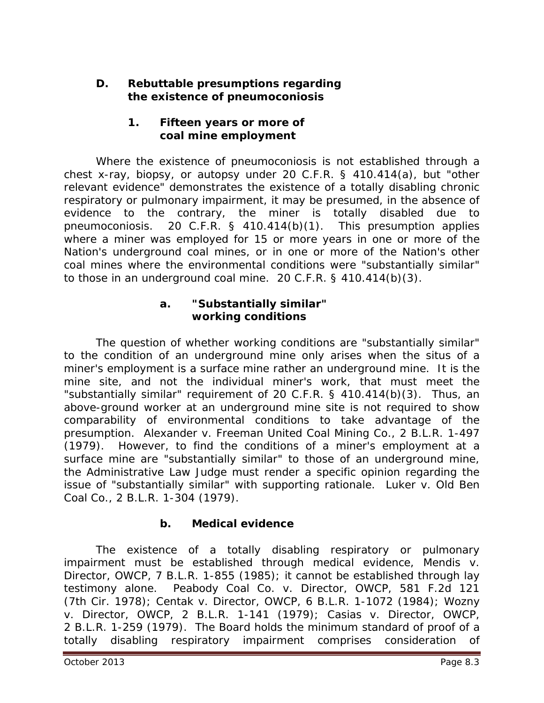#### **D. Rebuttable presumptions regarding the existence of pneumoconiosis**

#### **1. Fifteen years or more of coal mine employment**

Where the existence of pneumoconiosis is not established through a chest x-ray, biopsy, or autopsy under 20 C.F.R. § 410.414(a), but "other relevant evidence" demonstrates the existence of a totally disabling chronic respiratory or pulmonary impairment, it may be presumed, in the absence of evidence to the contrary, the miner is totally disabled due to pneumoconiosis. 20 C.F.R. § 410.414(b)(1). This presumption applies where a miner was employed for 15 or more years in one or more of the Nation's underground coal mines, or in one or more of the Nation's other coal mines where the environmental conditions were "substantially similar" to those in an underground coal mine. 20 C.F.R. § 410.414(b)(3).

#### **a. "Substantially similar" working conditions**

The question of whether working conditions are "substantially similar" to the condition of an underground mine only arises when the situs of a miner's employment is a *surface mine* rather an underground mine. It is the mine site, and not the individual miner's work, that must meet the "substantially similar" requirement of 20 C.F.R. § 410.414(b)(3). Thus, an above-ground worker at an underground mine site is not required to show comparability of environmental conditions to take advantage of the presumption. *Alexander v. Freeman United Coal Mining Co.*, 2 B.L.R. 1-497 (1979). However, to find the conditions of a miner's employment at a surface mine are "substantially similar" to those of an underground mine, the Administrative Law Judge must render a specific opinion regarding the issue of "substantially similar" with supporting rationale. *Luker v. Old Ben Coal Co.*, 2 B.L.R. 1-304 (1979).

## **b. Medical evidence**

The existence of a totally disabling respiratory or pulmonary impairment must be established through medical evidence, *Mendis v. Director, OWCP*, 7 B.L.R. 1-855 (1985); it cannot be established through lay testimony alone. *Peabody Coal Co. v. Director, OWCP*, 581 F.2d 121 (7th Cir. 1978); *Centak v. Director*, OWCP, 6 B.L.R. 1-1072 (1984); *Wozny v. Director, OWCP*, 2 B.L.R. 1-141 (1979); *Casias v. Director, OWCP*, 2 B.L.R. 1-259 (1979). The Board holds the minimum standard of proof of a totally disabling respiratory impairment comprises consideration of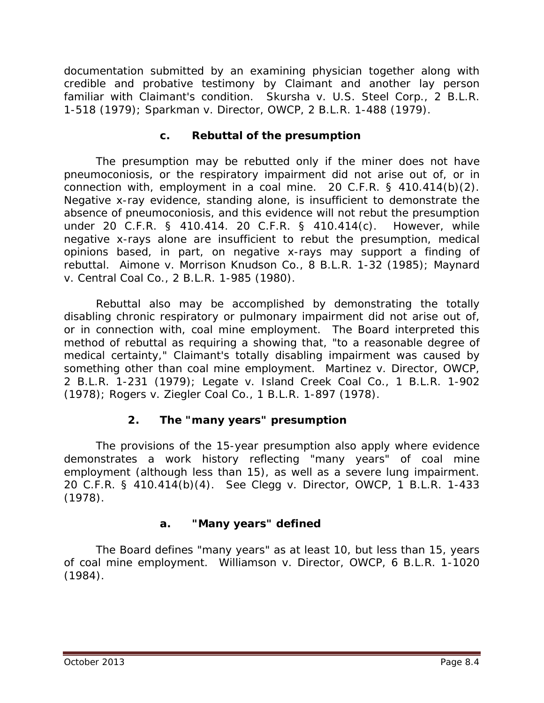documentation submitted by an examining physician together along with credible and probative testimony by Claimant and another lay person familiar with Claimant's condition. *Skursha v. U.S. Steel Corp.*, 2 B.L.R. 1-518 (1979); *Sparkman v. Director, OWCP*, 2 B.L.R. 1-488 (1979).

#### **c. Rebuttal of the presumption**

The presumption may be rebutted only if the miner does not have pneumoconiosis, or the respiratory impairment did not arise out of, or in connection with, employment in a coal mine. 20 C.F.R. § 410.414(b)(2). Negative x-ray evidence, standing alone, is insufficient to demonstrate the absence of pneumoconiosis, and this evidence will not rebut the presumption under 20 C.F.R. § 410.414. 20 C.F.R. § 410.414(c). However, while negative x-rays alone are insufficient to rebut the presumption, medical opinions based, in part, on negative x-rays may support a finding of rebuttal. *Aimone v. Morrison Knudson Co.*, 8 B.L.R. 1-32 (1985); *Maynard v. Central Coal Co.*, 2 B.L.R. 1-985 (1980).

Rebuttal also may be accomplished by demonstrating the totally disabling chronic respiratory or pulmonary impairment did not arise out of, or in connection with, coal mine employment. The Board interpreted this method of rebuttal as requiring a showing that, "to a reasonable degree of medical certainty," Claimant's totally disabling impairment was caused by something other than coal mine employment. *Martinez v. Director, OWCP*, 2 B.L.R. 1-231 (1979); *Legate v. Island Creek Coal Co.*, 1 B.L.R. 1-902 (1978); *Rogers v. Ziegler Coal Co.*, 1 B.L.R. 1-897 (1978).

## **2. The "many years" presumption**

The provisions of the 15-year presumption also apply where evidence demonstrates a work history reflecting "many years" of coal mine employment (although less than 15), as well as a *severe lung impairment*. 20 C.F.R. § 410.414(b)(4). *See Clegg v. Director, OWCP*, 1 B.L.R. 1-433 (1978).

## **a. "Many years" defined**

The Board defines "many years" as at least 10, but less than 15, years of coal mine employment. *Williamson v. Director, OWCP*, 6 B.L.R. 1-1020 (1984).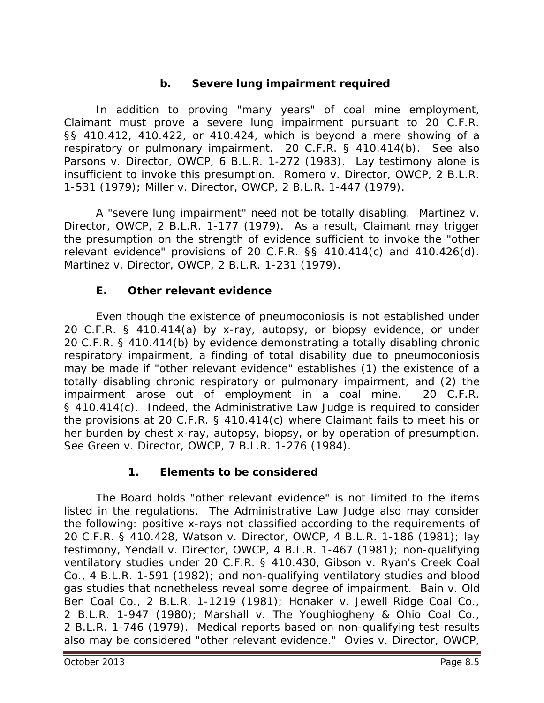## **b. Severe lung impairment required**

In addition to proving "many years" of coal mine employment, Claimant must prove a severe lung impairment pursuant to 20 C.F.R. §§ 410.412, 410.422, or 410.424, which is beyond a mere showing of a respiratory or pulmonary impairment. 20 C.F.R. § 410.414(b). *See also Parsons v. Director, OWCP*, 6 B.L.R. 1-272 (1983). Lay testimony alone is insufficient to invoke this presumption. *Romero v. Director, OWCP*, 2 B.L.R. 1-531 (1979); *Miller v. Director, OWCP*, 2 B.L.R. 1-447 (1979).

A "severe lung impairment" need not be totally disabling. *Martinez v. Director, OWCP*, 2 B.L.R. 1-177 (1979). As a result, Claimant may trigger the presumption on the strength of evidence sufficient to invoke the "other relevant evidence" provisions of 20 C.F.R. §§ 410.414(c) and 410.426(d). *Martinez v. Director, OWCP*, 2 B.L.R. 1-231 (1979).

## **E. Other relevant evidence**

Even though the existence of pneumoconiosis is not established under 20 C.F.R. § 410.414(a) by x-ray, autopsy, or biopsy evidence, or under 20 C.F.R. § 410.414(b) by evidence demonstrating a totally disabling chronic respiratory impairment, a finding of total disability due to pneumoconiosis may be made if "other relevant evidence" establishes (1) the existence of a totally disabling chronic respiratory or pulmonary impairment, and (2) the impairment arose out of employment in a coal mine. 20 C.F.R. § 410.414(c). Indeed, the Administrative Law Judge is required to consider the provisions at 20 C.F.R. § 410.414(c) where Claimant fails to meet his or her burden by chest x-ray, autopsy, biopsy, or by operation of presumption. *See Green v. Director, OWCP*, 7 B.L.R. 1-276 (1984).

## **1. Elements to be considered**

The Board holds "other relevant evidence" is not limited to the items listed in the regulations. The Administrative Law Judge also may consider the following: positive x-rays not classified according to the requirements of 20 C.F.R. § 410.428, *Watson v. Director, OWCP*, 4 B.L.R. 1-186 (1981); lay testimony, *Yendall v. Director, OWCP*, 4 B.L.R. 1-467 (1981); non-qualifying ventilatory studies under 20 C.F.R. § 410.430, *Gibson v. Ryan's Creek Coal Co.*, 4 B.L.R. 1-591 (1982); and non-qualifying ventilatory studies and blood gas studies that nonetheless reveal some degree of impairment. *Bain v. Old Ben Coal Co.*, 2 B.L.R. 1-1219 (1981); *Honaker v. Jewell Ridge Coal Co.*, 2 B.L.R. 1-947 (1980); *Marshall v. The Youghiogheny & Ohio Coal Co.*, 2 B.L.R. 1-746 (1979). Medical reports based on non-qualifying test results also may be considered "other relevant evidence." *Ovies v. Director, OWCP*,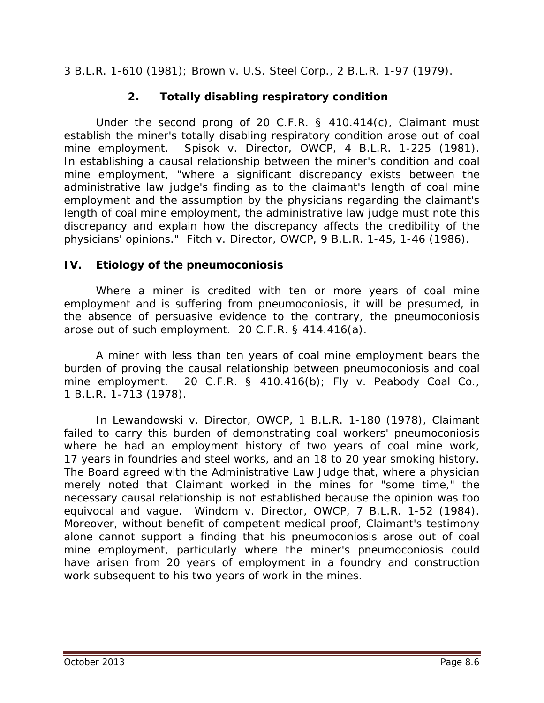3 B.L.R. 1-610 (1981); *Brown v. U.S. Steel Corp.*, 2 B.L.R. 1-97 (1979).

## **2. Totally disabling respiratory condition**

Under the second prong of 20 C.F.R. § 410.414(c), Claimant must establish the miner's totally disabling respiratory condition arose out of coal mine employment. *Spisok v. Director, OWCP*, 4 B.L.R. 1-225 (1981). In establishing a causal relationship between the miner's condition and coal mine employment, "where a significant discrepancy exists between the administrative law judge's finding as to the claimant's length of coal mine employment and the assumption by the physicians regarding the claimant's length of coal mine employment, the administrative law judge must note this discrepancy and explain how the discrepancy affects the credibility of the physicians' opinions." *Fitch v. Director, OWCP*, 9 B.L.R. 1-45, 1-46 (1986).

#### **IV. Etiology of the pneumoconiosis**

Where a miner is credited with ten or more years of coal mine employment and is suffering from pneumoconiosis, it will be presumed, in the absence of persuasive evidence to the contrary, the pneumoconiosis arose out of such employment. 20 C.F.R. § 414.416(a).

A miner with less than ten years of coal mine employment bears the burden of proving the causal relationship between pneumoconiosis and coal mine employment. 20 C.F.R. § 410.416(b); *Fly v. Peabody Coal Co.*, 1 B.L.R. 1-713 (1978).

In *Lewandowski v. Director, OWCP*, 1 B.L.R. 1-180 (1978), Claimant failed to carry this burden of demonstrating coal workers' pneumoconiosis where he had an employment history of two years of coal mine work, 17 years in foundries and steel works, and an 18 to 20 year smoking history. The Board agreed with the Administrative Law Judge that, where a physician merely noted that Claimant worked in the mines for "some time," the necessary causal relationship is not established because the opinion was too equivocal and vague. *Windom v. Director, OWCP*, 7 B.L.R. 1-52 (1984). Moreover, without benefit of competent medical proof, Claimant's testimony alone cannot support a finding that his pneumoconiosis arose out of coal mine employment, particularly where the miner's pneumoconiosis could have arisen from 20 years of employment in a foundry and construction work subsequent to his two years of work in the mines.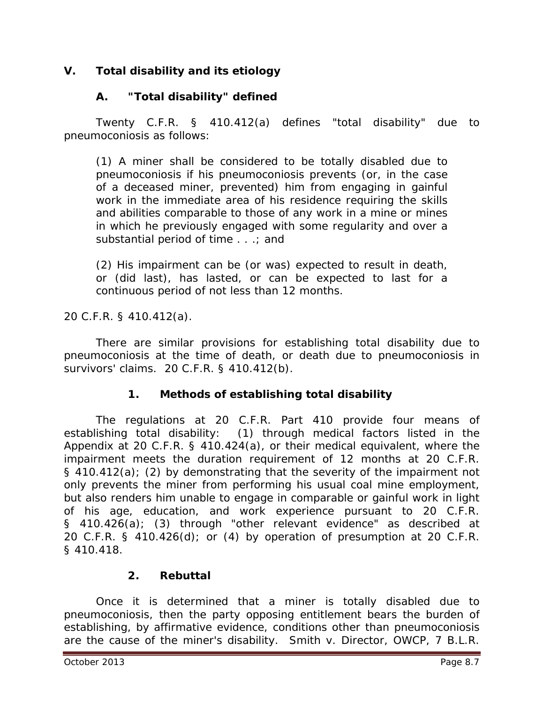## **V. Total disability and its etiology**

## **A. "Total disability" defined**

Twenty C.F.R. § 410.412(a) defines "total disability" due to pneumoconiosis as follows:

(1) A miner shall be considered to be totally disabled due to pneumoconiosis if his pneumoconiosis prevents (or, in the case of a deceased miner, prevented) him from engaging in gainful work in the immediate area of his residence requiring the skills and abilities comparable to those of any work in a mine or mines in which he previously engaged with some regularity and over a substantial period of time . . .; and

(2) His impairment can be (or was) expected to result in death, or (did last), has lasted, or can be expected to last for a continuous period of not less than 12 months.

20 C.F.R. § 410.412(a).

There are similar provisions for establishing total disability due to pneumoconiosis at the time of death, or death due to pneumoconiosis in survivors' claims. 20 C.F.R. § 410.412(b).

## **1. Methods of establishing total disability**

The regulations at 20 C.F.R. Part 410 provide four means of establishing total disability: (1) through medical factors listed in the Appendix at 20 C.F.R. § 410.424(a), or their medical equivalent, where the impairment meets the duration requirement of 12 months at 20 C.F.R. § 410.412(a); (2) by demonstrating that the severity of the impairment not only prevents the miner from performing his usual coal mine employment, but also renders him unable to engage in comparable or gainful work in light of his age, education, and work experience pursuant to 20 C.F.R. § 410.426(a); (3) through "other relevant evidence" as described at 20 C.F.R. § 410.426(d); or (4) by operation of presumption at 20 C.F.R. § 410.418.

## **2. Rebuttal**

Once it is determined that a miner is totally disabled due to pneumoconiosis, then the party opposing entitlement bears the burden of establishing, by affirmative evidence, conditions other than pneumoconiosis are the cause of the miner's disability. *Smith v. Director, OWCP*, 7 B.L.R.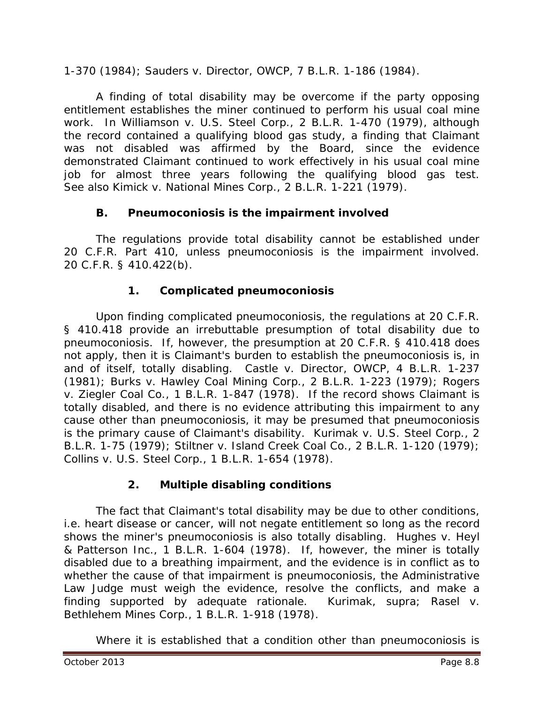1-370 (1984); *Sauders v. Director, OWCP*, 7 B.L.R. 1-186 (1984).

A finding of total disability may be overcome if the party opposing entitlement establishes the miner continued to perform his usual coal mine work. In *Williamson v. U.S. Steel Corp.*, 2 B.L.R. 1-470 (1979), although the record contained a qualifying blood gas study, a finding that Claimant was not disabled was affirmed by the Board, since the evidence demonstrated Claimant continued to work effectively in his usual coal mine job for almost three years following the qualifying blood gas test. *See also Kimick v. National Mines Corp.*, 2 B.L.R. 1-221 (1979).

## **B. Pneumoconiosis is the impairment involved**

The regulations provide total disability cannot be established under 20 C.F.R. Part 410, unless pneumoconiosis is the impairment involved. 20 C.F.R. § 410.422(b).

## **1. Complicated pneumoconiosis**

Upon finding complicated pneumoconiosis, the regulations at 20 C.F.R. § 410.418 provide an *irrebuttable* presumption of total disability due to pneumoconiosis. If, however, the presumption at 20 C.F.R. § 410.418 does not apply, then it is Claimant's burden to establish the pneumoconiosis is, in and of itself, totally disabling. *Castle v. Director, OWCP*, 4 B.L.R. 1-237 (1981); *Burks v. Hawley Coal Mining Corp*., 2 B.L.R. 1-223 (1979); *Rogers v. Ziegler Coal Co.*, 1 B.L.R. 1-847 (1978). If the record shows Claimant is totally disabled, and there is no evidence attributing this impairment to any cause other than pneumoconiosis, it may be presumed that pneumoconiosis is the primary cause of Claimant's disability. *Kurimak v. U.S. Steel Corp.*, 2 B.L.R. 1-75 (1979); *Stiltner v. Island Creek Coal Co.*, 2 B.L.R. 1-120 (1979); *Collins v. U.S. Steel Corp.*, 1 B.L.R. 1-654 (1978).

## **2. Multiple disabling conditions**

The fact that Claimant's total disability may be due to other conditions, *i.e.* heart disease or cancer, will not negate entitlement so long as the record shows the miner's pneumoconiosis is also totally disabling. *Hughes v. Heyl & Patterson Inc.*, 1 B.L.R. 1-604 (1978). If, however, the miner is totally disabled due to a breathing impairment, and the evidence is in conflict as to whether the cause of that impairment is pneumoconiosis, the Administrative Law Judge must weigh the evidence, resolve the conflicts, and make a finding supported by adequate rationale. *Kurimak*, *supra*; *Rasel v. Bethlehem Mines Corp.*, 1 B.L.R. 1-918 (1978).

Where it is established that a condition other than pneumoconiosis is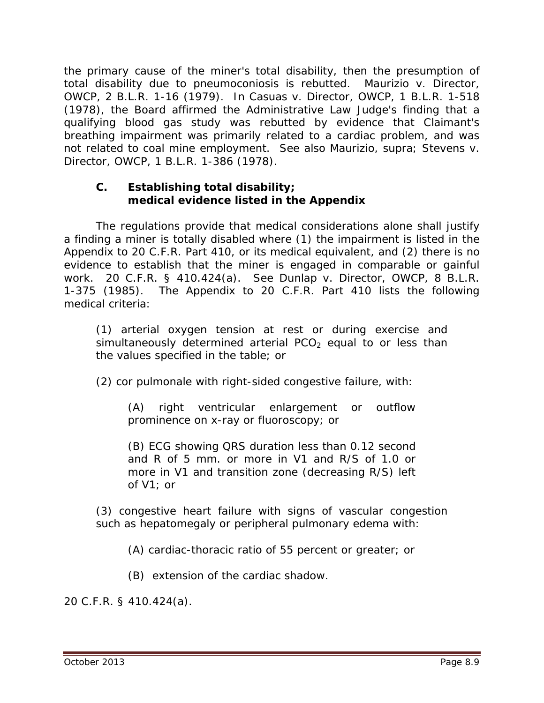the primary cause of the miner's total disability, then the presumption of total disability due to pneumoconiosis is rebutted. *Maurizio v. Director, OWCP*, 2 B.L.R. 1-16 (1979). In *Casuas v. Director, OWCP*, 1 B.L.R. 1-518 (1978), the Board affirmed the Administrative Law Judge's finding that a qualifying blood gas study was rebutted by evidence that Claimant's breathing impairment was primarily related to a cardiac problem, and was not related to coal mine employment. *See also Maurizio*, *supra*; *Stevens v. Director, OWCP*, 1 B.L.R. 1-386 (1978).

#### **C. Establishing total disability; medical evidence listed in the Appendix**

The regulations provide that medical considerations alone shall justify a finding a miner is totally disabled where (1) the impairment is listed in the Appendix to 20 C.F.R. Part 410, or its medical equivalent, and (2) there is no evidence to establish that the miner is engaged in comparable or gainful work. 20 C.F.R. § 410.424(a). *See Dunlap v. Director, OWCP*, 8 B.L.R. 1-375 (1985). The Appendix to 20 C.F.R. Part 410 lists the following medical criteria:

(1) arterial oxygen tension at rest or during exercise and simultaneously determined arterial  $PCO<sub>2</sub>$  equal to or less than the values specified in the table; or

(2) cor pulmonale with right-sided congestive failure, with:

(A) right ventricular enlargement or outflow prominence on x-ray or fluoroscopy; or

(B) ECG showing QRS duration less than 0.12 second and R of 5 mm. or more in V1 and R/S of 1.0 or more in V1 and transition zone (decreasing R/S) left of V1; or

(3) congestive heart failure with signs of vascular congestion such as hepatomegaly or peripheral pulmonary edema with:

(A) cardiac-thoracic ratio of 55 percent or greater; or

(B) extension of the cardiac shadow*.* 

20 C.F.R. § 410.424(a).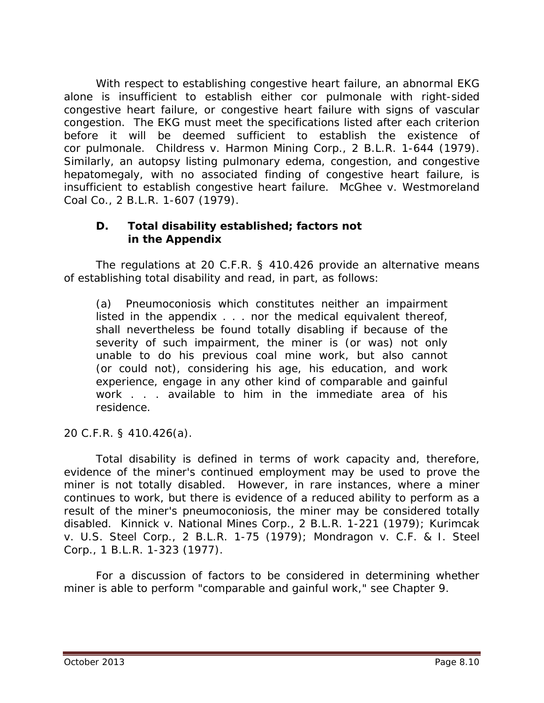With respect to establishing congestive heart failure, an abnormal EKG alone is insufficient to establish either cor pulmonale with right-sided congestive heart failure, or congestive heart failure with signs of vascular congestion. The EKG must meet the specifications listed after each criterion before it will be deemed sufficient to establish the existence of cor pulmonale. *Childress v. Harmon Mining Corp.*, 2 B.L.R. 1-644 (1979). Similarly, an autopsy listing pulmonary edema, congestion, and congestive hepatomegaly, with no associated finding of congestive heart failure, is insufficient to establish congestive heart failure. *McGhee v. Westmoreland Coal Co.*, 2 B.L.R. 1-607 (1979).

#### **D. Total disability established; factors not in the Appendix**

The regulations at 20 C.F.R. § 410.426 provide an alternative means of establishing total disability and read, in part, as follows:

(a) Pneumoconiosis which constitutes neither an impairment listed in the appendix . . . nor the medical equivalent thereof, shall nevertheless be found totally disabling if because of the severity of such impairment, the miner is (or was) not only unable to do his previous coal mine work, but also cannot (or could not), considering his age, his education, and work experience, engage in any other kind of comparable and gainful work . . . available to him in the immediate area of his residence.

20 C.F.R. § 410.426(a).

Total disability is defined in terms of work capacity and, therefore, evidence of the miner's continued employment may be used to prove the miner is not totally disabled. However, in rare instances, where a miner continues to work, but there is evidence of a reduced ability to perform as a result of the miner's pneumoconiosis, the miner may be considered totally disabled. *Kinnick v. National Mines Corp.*, 2 B.L.R. 1-221 (1979); *Kurimcak v. U.S. Steel Corp*., 2 B.L.R. 1-75 (1979); *Mondragon v. C.F. & I. Steel Corp.*, 1 B.L.R. 1-323 (1977).

For a discussion of factors to be considered in determining whether miner is able to perform "comparable and gainful work," *see* Chapter 9.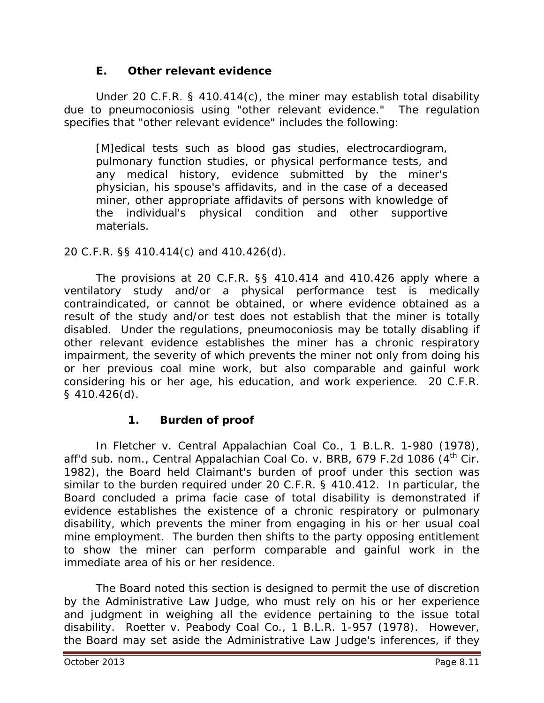#### **E. Other relevant evidence**

Under 20 C.F.R. § 410.414(c), the miner may establish total disability due to pneumoconiosis using "other relevant evidence." The regulation specifies that "other relevant evidence" includes the following:

[M]edical tests such as blood gas studies, electrocardiogram, pulmonary function studies, or physical performance tests, and any medical history, evidence submitted by the miner's physician, his spouse's affidavits, and in the case of a deceased miner, other appropriate affidavits of persons with knowledge of the individual's physical condition and other supportive materials.

#### 20 C.F.R. §§ 410.414(c) and 410.426(d).

The provisions at 20 C.F.R. §§ 410.414 and 410.426 apply where a ventilatory study and/or a physical performance test is medically contraindicated, or cannot be obtained, or where evidence obtained as a result of the study and/or test does not establish that the miner is totally disabled. Under the regulations, pneumoconiosis may be totally disabling if other relevant evidence establishes the miner has a chronic respiratory impairment, the severity of which prevents the miner not only from doing his or her previous coal mine work, but also comparable and gainful work considering his or her age, his education, and work experience. 20 C.F.R. § 410.426(d).

## **1. Burden of proof**

In *Fletcher v. Central Appalachian Coal Co.,* 1 B.L.R. 1-980 (1978), *aff'd sub. nom., Central Appalachian Coal Co. v. BRB*, 679 F.2d 1086 (4th Cir. 1982), the Board held Claimant's burden of proof under this section was similar to the burden required under 20 C.F.R. § 410.412. In particular, the Board concluded a *prima facie* case of total disability is demonstrated if evidence establishes the existence of a chronic respiratory or pulmonary disability, which prevents the miner from engaging in his or her usual coal mine employment. The burden then shifts to the party opposing entitlement to show the miner can perform comparable and gainful work in the immediate area of his or her residence.

The Board noted this section is designed to permit the use of discretion by the Administrative Law Judge, who must rely on his or her experience and judgment in weighing all the evidence pertaining to the issue total disability. *Roetter v. Peabody Coal Co.*, 1 B.L.R. 1-957 (1978). However, the Board may set aside the Administrative Law Judge's inferences, if they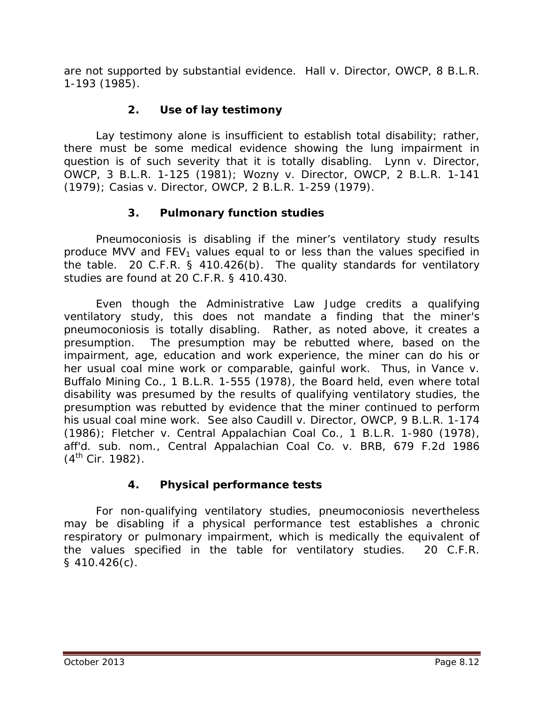are not supported by substantial evidence. *Hall v. Director, OWCP*, 8 B.L.R. 1-193 (1985).

# **2. Use of lay testimony**

Lay testimony alone is insufficient to establish total disability; rather, there must be some medical evidence showing the lung impairment in question is of such severity that it is totally disabling. *Lynn v. Director, OWCP*, 3 B.L.R. 1-125 (1981); *Wozny v. Director, OWCP*, 2 B.L.R. 1-141 (1979); *Casias v. Director, OWCP*, 2 B.L.R. 1-259 (1979).

## **3. Pulmonary function studies**

Pneumoconiosis is disabling if the miner's ventilatory study results produce MVV and  $FEV<sub>1</sub>$  values equal to or less than the values specified in the table. 20 C.F.R. § 410.426(b). The quality standards for ventilatory studies are found at 20 C.F.R. § 410.430.

Even though the Administrative Law Judge credits a qualifying ventilatory study, this does not mandate a finding that the miner's pneumoconiosis is totally disabling. Rather, as noted above, it creates a presumption. The presumption may be rebutted where, based on the impairment, age, education and work experience, the miner can do his or her usual coal mine work or comparable, gainful work. Thus, in *Vance v. Buffalo Mining Co.*, 1 B.L.R. 1-555 (1978), the Board held, even where total disability was presumed by the results of qualifying ventilatory studies, the presumption was rebutted by evidence that the miner continued to perform his usual coal mine work. *See also Caudill v. Director, OWCP*, 9 B.L.R. 1-174 (1986); *Fletcher v. Central Appalachian Coal Co.*, 1 B.L.R. 1-980 (1978), *aff'd. sub. nom.*, *Central Appalachian Coal Co. v. BRB*, 679 F.2d 1986  $(4^{th}$  Cir. 1982).

## **4. Physical performance tests**

For non-qualifying ventilatory studies, pneumoconiosis nevertheless may be disabling if a physical performance test establishes a chronic respiratory or pulmonary impairment, which is medically the equivalent of the values specified in the table for ventilatory studies. 20 C.F.R. § 410.426(c).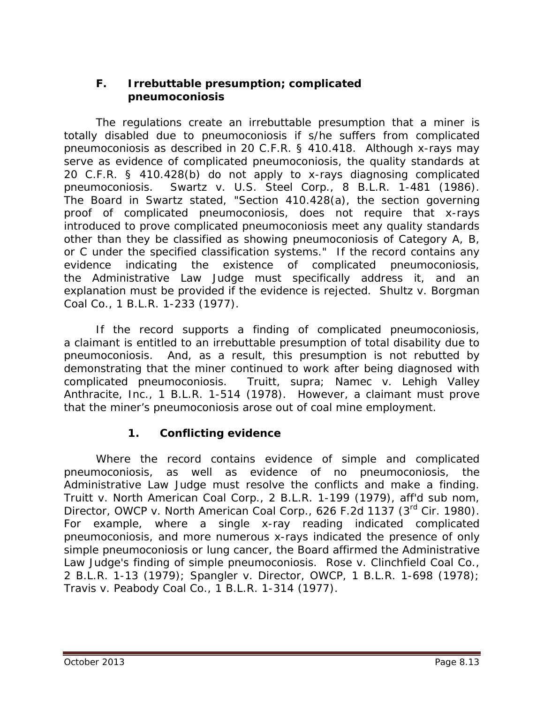#### **F. Irrebuttable presumption; complicated pneumoconiosis**

The regulations create an irrebuttable presumption that a miner is totally disabled due to pneumoconiosis if s/he suffers from complicated pneumoconiosis as described in 20 C.F.R. § 410.418. Although x-rays may serve as evidence of complicated pneumoconiosis, the quality standards at 20 C.F.R. § 410.428(b) do not apply to x-rays diagnosing complicated pneumoconiosis. *Swartz v. U.S. Steel Corp.*, 8 B.L.R. 1-481 (1986). The Board in *Swartz* stated, "Section 410.428(a), the section governing proof of complicated pneumoconiosis, does not require that x-rays introduced to prove complicated pneumoconiosis meet any quality standards other than they be classified as showing pneumoconiosis of Category A, B, or C under the specified classification systems." If the record contains any evidence indicating the existence of complicated pneumoconiosis, the Administrative Law Judge must specifically address it, and an explanation must be provided if the evidence is rejected. *Shultz v. Borgman Coal Co.*, 1 B.L.R. 1-233 (1977).

If the record supports a finding of complicated pneumoconiosis, a claimant is entitled to an irrebuttable presumption of total disability due to pneumoconiosis. And, as a result, this presumption is not rebutted by demonstrating that the miner continued to work after being diagnosed with complicated pneumoconiosis. *Truitt*, *supra*; *Namec v. Lehigh Valley Anthracite, Inc.,* 1 B.L.R. 1-514 (1978). However, a claimant must prove that the miner's pneumoconiosis arose out of coal mine employment.

## **1. Conflicting evidence**

Where the record contains evidence of simple and complicated pneumoconiosis, as well as evidence of no pneumoconiosis, the Administrative Law Judge must resolve the conflicts and make a finding. *Truitt v. North American Coal Corp.*, 2 B.L.R. 1-199 (1979), *aff'd sub nom*, *Director, OWCP v. North American Coal Corp.*, 626 F.2d 1137 (3rd Cir. 1980). For example, where a single x-ray reading indicated complicated pneumoconiosis, and more numerous x-rays indicated the presence of only simple pneumoconiosis or lung cancer, the Board affirmed the Administrative Law Judge's finding of simple pneumoconiosis. *Rose v. Clinchfield Coal Co.*, 2 B.L.R. 1-13 (1979); *Spangler v. Director, OWCP*, 1 B.L.R. 1-698 (1978); *Travis v. Peabody Coal Co.*, 1 B.L.R. 1-314 (1977).